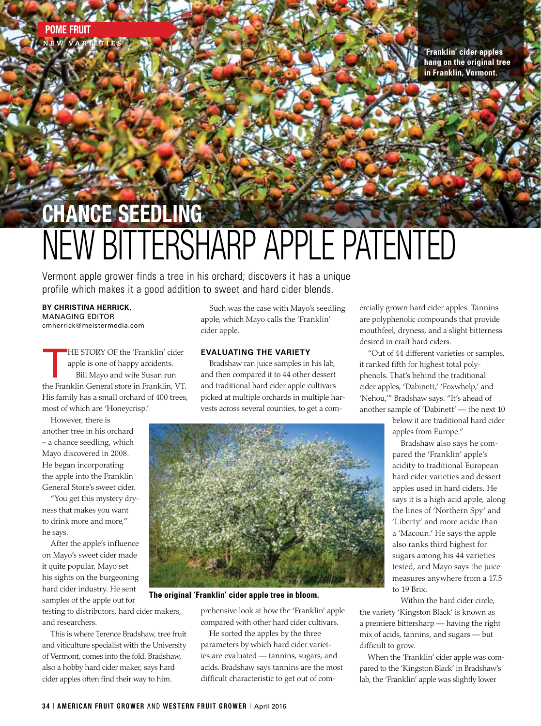**'Franklin' cider apples hang on the original tree in Franklin, Vermont.**

# CHANCE SEEDLING NEW BITTERSHARP APPLE PATENTED

Vermont apple grower finds a tree in his orchard; discovers it has a unique profile which makes it a good addition to sweet and hard cider blends.

**BY CHRISTINA HERRICK,**  MANAGING EDITOR cmherrick@meistermedia.com

HE STORY OF the 'Franklin' cider apple is one of happy accidents. Bill Mayo and wife Susan run the Franklin General store in Franklin, VT. His family has a small orchard of 400 trees, most of which are 'Honeycrisp.'

However, there is another tree in his orchard – a chance seedling, which Mayo discovered in 2008. He began incorporating the apple into the Franklin General Store's sweet cider.

"You get this mystery dryness that makes you want to drink more and more," he says.

After the apple's influence on Mayo's sweet cider made it quite popular, Mayo set his sights on the burgeoning hard cider industry. He sent samples of the apple out for

testing to distributors, hard cider makers, and researchers.

This is where Terence Bradshaw, tree fruit and viticulture specialist with the University of Vermont, comes into the fold. Bradshaw, also a hobby hard cider maker, says hard cider apples often find their way to him.

Such was the case with Mayo's seedling apple, which Mayo calls the 'Franklin' cider apple.

### **EVALUATING THE VARIETY**

Bradshaw ran juice samples in his lab, and then compared it to 44 other dessert and traditional hard cider apple cultivars picked at multiple orchards in multiple harvests across several counties, to get a com-



**The original 'Franklin' cider apple tree in bloom.**

prehensive look at how the 'Franklin' apple compared with other hard cider cultivars.

He sorted the apples by the three parameters by which hard cider varieties are evaluated — tannins, sugars, and acids. Bradshaw says tannins are the most difficult characteristic to get out of comercially grown hard cider apples. Tannins are polyphenolic compounds that provide mouthfeel, dryness, and a slight bitterness desired in craft hard ciders.

"Out of 44 different varieties or samples, it ranked fifth for highest total polyphenols. That's behind the traditional cider apples, 'Dabinett,' 'Foxwhelp,' and 'Nehou,'" Bradshaw says. "It's ahead of another sample of 'Dabinett' — the next 10

> below it are traditional hard cider apples from Europe."

Bradshaw also says he compared the 'Franklin' apple's acidity to traditional European hard cider varieties and dessert apples used in hard ciders. He says it is a high acid apple, along the lines of 'Northern Spy' and 'Liberty' and more acidic than a 'Macoun.' He says the apple also ranks third highest for sugars among his 44 varieties tested, and Mayo says the juice measures anywhere from a 17.5 to 19 Brix.

Within the hard cider circle,

the variety 'Kingston Black' is known as a premiere bittersharp — having the right mix of acids, tannins, and sugars — but difficult to grow.

When the 'Franklin' cider apple was compared to the 'Kingston Black' in Bradshaw's lab, the 'Franklin' apple was slightly lower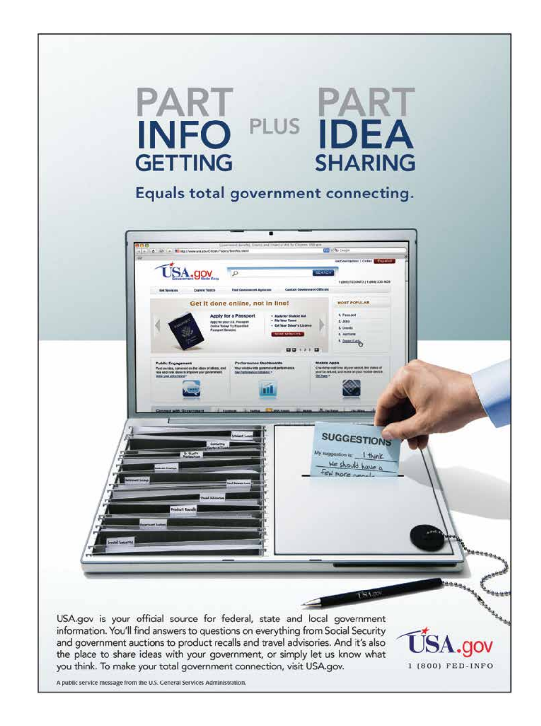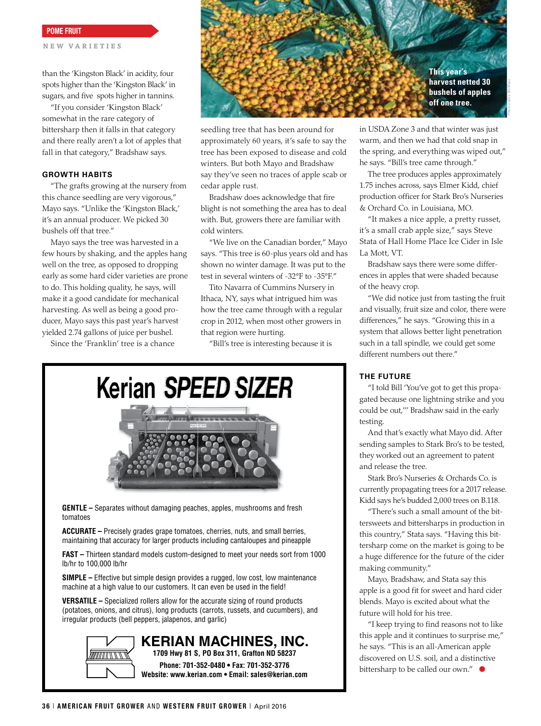POME FRUIT

**NEW VA RIETIES**

than the 'Kingston Black' in acidity, four spots higher than the 'Kingston Black' in sugars, and five spots higher in tannins.

"If you consider 'Kingston Black' somewhat in the rare category of bittersharp then it falls in that category and there really aren't a lot of apples that fall in that category," Bradshaw says.

#### **GROWTH HABITS**

"The grafts growing at the nursery from this chance seedling are very vigorous," Mayo says. "Unlike the 'Kingston Black,' it's an annual producer. We picked 30 bushels off that tree."

Mayo says the tree was harvested in a few hours by shaking, and the apples hang well on the tree, as opposed to dropping early as some hard cider varieties are prone to do. This holding quality, he says, will make it a good candidate for mechanical harvesting. As well as being a good producer, Mayo says this past year's harvest yielded 2.74 gallons of juice per bushel.

Since the 'Franklin' tree is a chance



seedling tree that has been around for approximately 60 years, it's safe to say the tree has been exposed to disease and cold winters. But both Mayo and Bradshaw say they've seen no traces of apple scab or cedar apple rust.

Bradshaw does acknowledge that fire blight is not something the area has to deal with. But, growers there are familiar with cold winters.

"We live on the Canadian border," Mayo says. "This tree is 60-plus years old and has shown no winter damage. It was put to the test in several winters of -32°F to -35°F."

Tito Navarra of Cummins Nursery in Ithaca, NY, says what intrigued him was how the tree came through with a regular crop in 2012, when most other growers in that region were hurting.

"Bill's tree is interesting because it is

Kerian SPEED SIZER



**GENTLE –** Separates without damaging peaches, apples, mushrooms and fresh tomatoes

**ACCURATE –** Precisely grades grape tomatoes, cherries, nuts, and small berries, maintaining that accuracy for larger products including cantaloupes and pineapple

**FAST –** Thirteen standard models custom-designed to meet your needs sort from 1000 lb/hr to 100,000 lb/hr

**SIMPLE –** Effective but simple design provides a rugged, low cost, low maintenance machine at a high value to our customers. It can even be used in the field!

**VERSATILE –** Specialized rollers allow for the accurate sizing of round products (potatoes, onions, and citrus), long products (carrots, russets, and cucumbers), and irregular products (bell peppers, jalapenos, and garlic)



**KERIAN MACHINES, INC. 1709 Hwy 81 S, PO Box 311, Grafton ND 58237 Phone: 701-352-0480 • Fax: 701-352-3776**

**Website: www.kerian.com • Email: sales@kerian.com**

in USDA Zone 3 and that winter was just warm, and then we had that cold snap in the spring, and everything was wiped out," he says. "Bill's tree came through."

The tree produces apples approximately 1.75 inches across, says Elmer Kidd, chief production officer for Stark Bro's Nurseries & Orchard Co. in Louisiana, MO.

"It makes a nice apple, a pretty russet, it's a small crab apple size," says Steve Stata of Hall Home Place Ice Cider in Isle La Mott, VT.

Bradshaw says there were some differences in apples that were shaded because of the heavy crop.

"We did notice just from tasting the fruit and visually, fruit size and color, there were differences," he says. "Growing this in a system that allows better light penetration such in a tall spindle, we could get some different numbers out there."

### **THE FUTURE**

"I told Bill 'You've got to get this propagated because one lightning strike and you could be out,''' Bradshaw said in the early testing.

And that's exactly what Mayo did. After sending samples to Stark Bro's to be tested, they worked out an agreement to patent and release the tree.

Stark Bro's Nurseries & Orchards Co. is currently propagating trees for a 2017 release. Kidd says he's budded 2,000 trees on B.118.

"There's such a small amount of the bittersweets and bittersharps in production in this country," Stata says. "Having this bittersharp come on the market is going to be a huge difference for the future of the cider making community."

Mayo, Bradshaw, and Stata say this apple is a good fit for sweet and hard cider blends. Mayo is excited about what the future will hold for his tree.

"I keep trying to find reasons not to like this apple and it continues to surprise me," he says. "This is an all-American apple discovered on U.S. soil, and a distinctive bittersharp to be called our own." ●